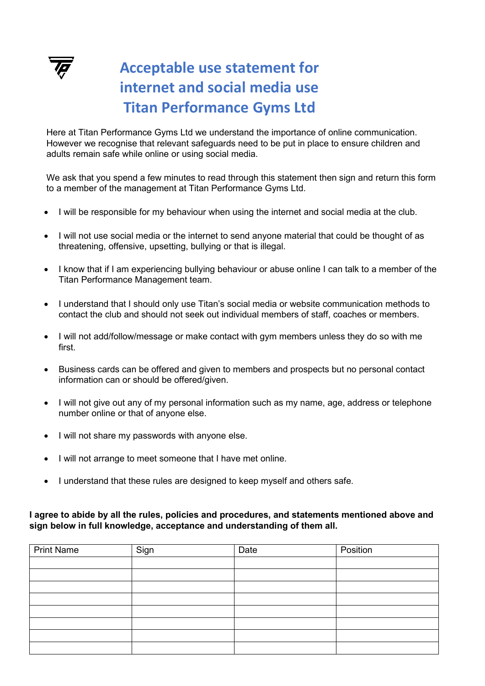

## **Acceptable use statement for internet and social media use Titan Performance Gyms Ltd**

Here at Titan Performance Gyms Ltd we understand the importance of online communication. However we recognise that relevant safeguards need to be put in place to ensure children and adults remain safe while online or using social media.

We ask that you spend a few minutes to read through this statement then sign and return this form to a member of the management at Titan Performance Gyms Ltd.

- I will be responsible for my behaviour when using the internet and social media at the club.
- I will not use social media or the internet to send anyone material that could be thought of as threatening, offensive, upsetting, bullying or that is illegal.
- I know that if I am experiencing bullying behaviour or abuse online I can talk to a member of the Titan Performance Management team.
- I understand that I should only use Titan's social media or website communication methods to contact the club and should not seek out individual members of staff, coaches or members.
- I will not add/follow/message or make contact with gym members unless they do so with me first.
- Business cards can be offered and given to members and prospects but no personal contact information can or should be offered/given.
- I will not give out any of my personal information such as my name, age, address or telephone number online or that of anyone else.
- I will not share my passwords with anyone else.
- I will not arrange to meet someone that I have met online.
- I understand that these rules are designed to keep myself and others safe.

## **I agree to abide by all the rules, policies and procedures, and statements mentioned above and sign below in full knowledge, acceptance and understanding of them all.**

| <b>Print Name</b> | Sign | Date | Position |
|-------------------|------|------|----------|
|                   |      |      |          |
|                   |      |      |          |
|                   |      |      |          |
|                   |      |      |          |
|                   |      |      |          |
|                   |      |      |          |
|                   |      |      |          |
|                   |      |      |          |